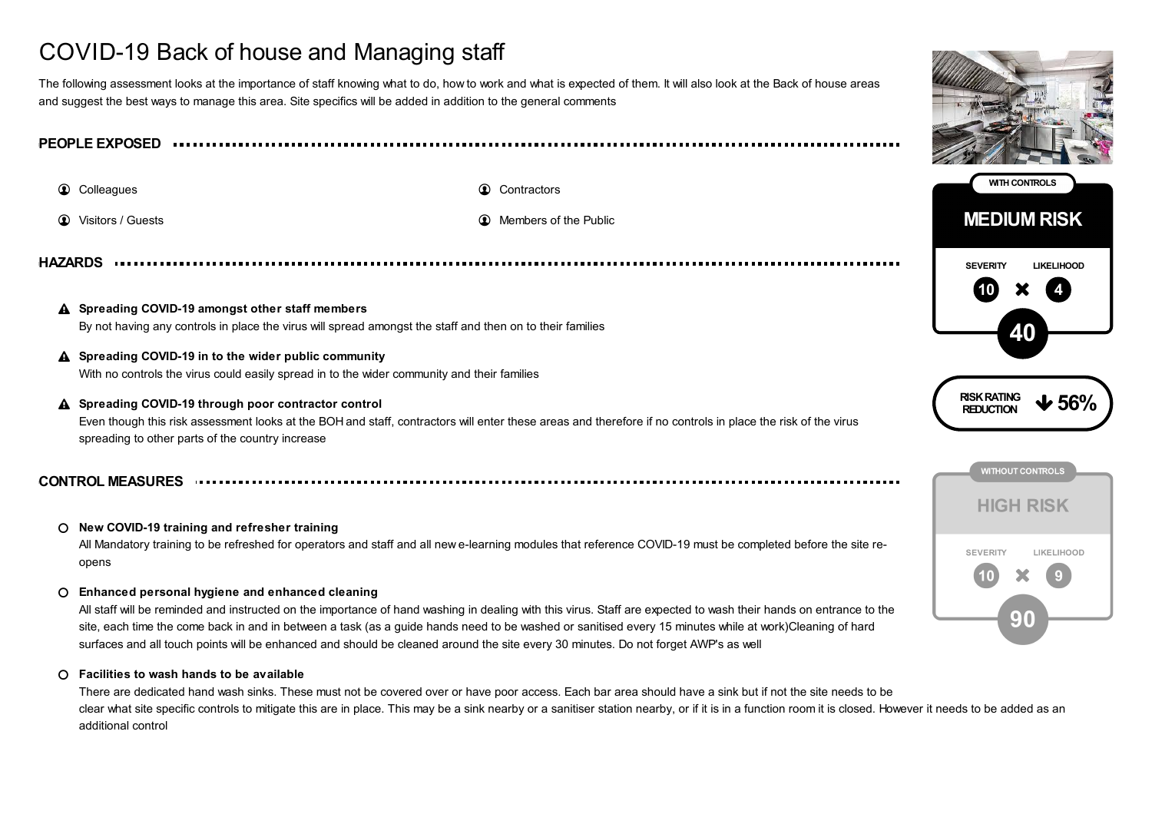# COVID-19 Back of house and Managing staff

The following assessment looks at the importance of staff knowing what to do, how to work and what is expected of them. It will also look at the Back of house areas and suggest the best ways to manage this area. Site specifics will be added in addition to the general comments

**PEOPLE EXPOSED**

**1** Colleagues **Contractors Contractors Contractors** 

**1** Visitors / Guests **Members of the Public Members of the Public Members of the Public** 

**HAZARDS**

- **Spreading COVID-19 amongst other staff members** By not having any controls in place the virus will spread amongst the staff and then on to their families
- **Spreading COVID-19 in to the wider public community** With no controls the virus could easily spread in to the wider community and their families
- **Spreading COVID-19 through poor contractor control** Even though this risk assessment looks at the BOH and staff, contractors will enter these areas and therefore if no controls in place the risk of the virus spreading to other parts of the country increase  $\mathbf{A}$

**CONTROL MEASURES**

# **New COVID-19 training and refresher training**

All Mandatory training to be refreshed for operators and staff and all new e-learning modules that reference COVID-19 must be completed before the site reopens

### **Enhanced personal hygiene and enhanced cleaning**

All staff will be reminded and instructed on the importance of hand washing in dealing with this virus. Staff are expected to wash their hands on entrance to the site, each time the come back in and in between a task (as a guide hands need to be washed or sanitised every 15 minutes while at work)Cleaning of hard surfaces and all touch points will be enhanced and should be cleaned around the site every 30 minutes. Do not forget AWP's as well

#### **Facilities to wash hands to be available**  $\Omega$

There are dedicated hand wash sinks. These must not be covered over or have poor access. Each bar area should have a sink but if not the site needs to be clear what site specific controls to mitigate this are in place. This may be a sink nearby or a sanitiser station nearby, or if it is in a function room it is closed. However it needs to be added as an additional control